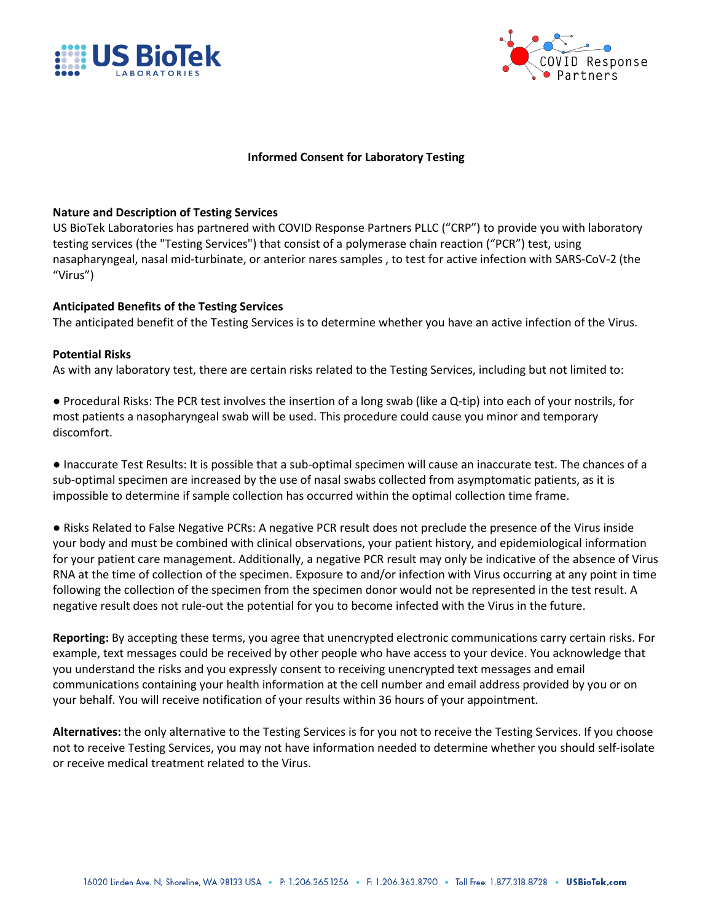



## **Informed Consent for Laboratory Testing**

## **Nature and Description of Testing Services**

US BioTek Laboratories has partnered with COVID Response Partners PLLC ("CRP") to provide you with laboratory testing services (the "Testing Services") that consist of a polymerase chain reaction ("PCR") test, using nasapharyngeal, nasal mid-turbinate, or anterior nares samples , to test for active infection with SARS-CoV-2 (the "Virus")

## **Anticipated Benefits of the Testing Services**

The anticipated benefit of the Testing Services is to determine whether you have an active infection of the Virus.

## **Potential Risks**

As with any laboratory test, there are certain risks related to the Testing Services, including but not limited to:

● Procedural Risks: The PCR test involves the insertion of a long swab (like a Q-tip) into each of your nostrils, for most patients a nasopharyngeal swab will be used. This procedure could cause you minor and temporary discomfort.

● Inaccurate Test Results: It is possible that a sub-optimal specimen will cause an inaccurate test. The chances of a sub-optimal specimen are increased by the use of nasal swabs collected from asymptomatic patients, as it is impossible to determine if sample collection has occurred within the optimal collection time frame.

● Risks Related to False Negative PCRs: A negative PCR result does not preclude the presence of the Virus inside your body and must be combined with clinical observations, your patient history, and epidemiological information for your patient care management. Additionally, a negative PCR result may only be indicative of the absence of Virus RNA at the time of collection of the specimen. Exposure to and/or infection with Virus occurring at any point in time following the collection of the specimen from the specimen donor would not be represented in the test result. A negative result does not rule-out the potential for you to become infected with the Virus in the future.

**Reporting:** By accepting these terms, you agree that unencrypted electronic communications carry certain risks. For example, text messages could be received by other people who have access to your device. You acknowledge that you understand the risks and you expressly consent to receiving unencrypted text messages and email communications containing your health information at the cell number and email address provided by you or on your behalf. You will receive notification of your results within 36 hours of your appointment.

**Alternatives:** the only alternative to the Testing Services is for you not to receive the Testing Services. If you choose not to receive Testing Services, you may not have information needed to determine whether you should self-isolate or receive medical treatment related to the Virus.